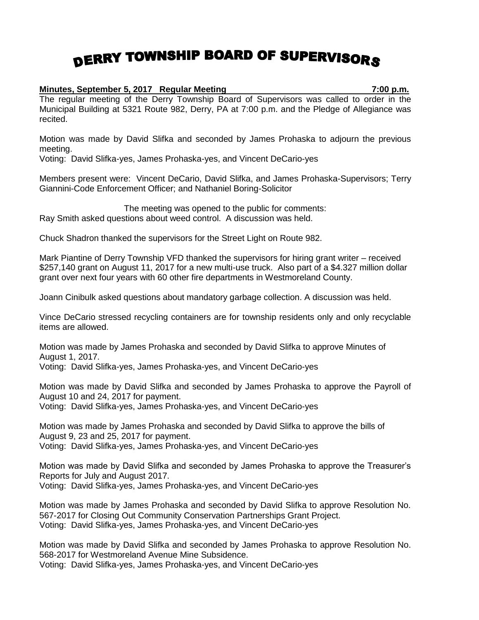## DERRY TOWNSHIP BOARD OF SUPERVISORS

## **Minutes, September 5, 2017 Regular Meeting 7:00 p.m.**

The regular meeting of the Derry Township Board of Supervisors was called to order in the Municipal Building at 5321 Route 982, Derry, PA at 7:00 p.m. and the Pledge of Allegiance was recited.

Motion was made by David Slifka and seconded by James Prohaska to adjourn the previous meeting.

Voting: David Slifka-yes, James Prohaska-yes, and Vincent DeCario-yes

Members present were: Vincent DeCario, David Slifka, and James Prohaska-Supervisors; Terry Giannini-Code Enforcement Officer; and Nathaniel Boring-Solicitor

The meeting was opened to the public for comments: Ray Smith asked questions about weed control. A discussion was held.

Chuck Shadron thanked the supervisors for the Street Light on Route 982.

Mark Piantine of Derry Township VFD thanked the supervisors for hiring grant writer – received \$257,140 grant on August 11, 2017 for a new multi-use truck. Also part of a \$4.327 million dollar grant over next four years with 60 other fire departments in Westmoreland County.

Joann Cinibulk asked questions about mandatory garbage collection. A discussion was held.

Vince DeCario stressed recycling containers are for township residents only and only recyclable items are allowed.

Motion was made by James Prohaska and seconded by David Slifka to approve Minutes of August 1, 2017.

Voting: David Slifka-yes, James Prohaska-yes, and Vincent DeCario-yes

Motion was made by David Slifka and seconded by James Prohaska to approve the Payroll of August 10 and 24, 2017 for payment.

Voting: David Slifka-yes, James Prohaska-yes, and Vincent DeCario-yes

Motion was made by James Prohaska and seconded by David Slifka to approve the bills of August 9, 23 and 25, 2017 for payment.

Voting: David Slifka-yes, James Prohaska-yes, and Vincent DeCario-yes

Motion was made by David Slifka and seconded by James Prohaska to approve the Treasurer's Reports for July and August 2017. Voting: David Slifka-yes, James Prohaska-yes, and Vincent DeCario-yes

Motion was made by James Prohaska and seconded by David Slifka to approve Resolution No. 567-2017 for Closing Out Community Conservation Partnerships Grant Project. Voting: David Slifka-yes, James Prohaska-yes, and Vincent DeCario-yes

Motion was made by David Slifka and seconded by James Prohaska to approve Resolution No. 568-2017 for Westmoreland Avenue Mine Subsidence. Voting: David Slifka-yes, James Prohaska-yes, and Vincent DeCario-yes